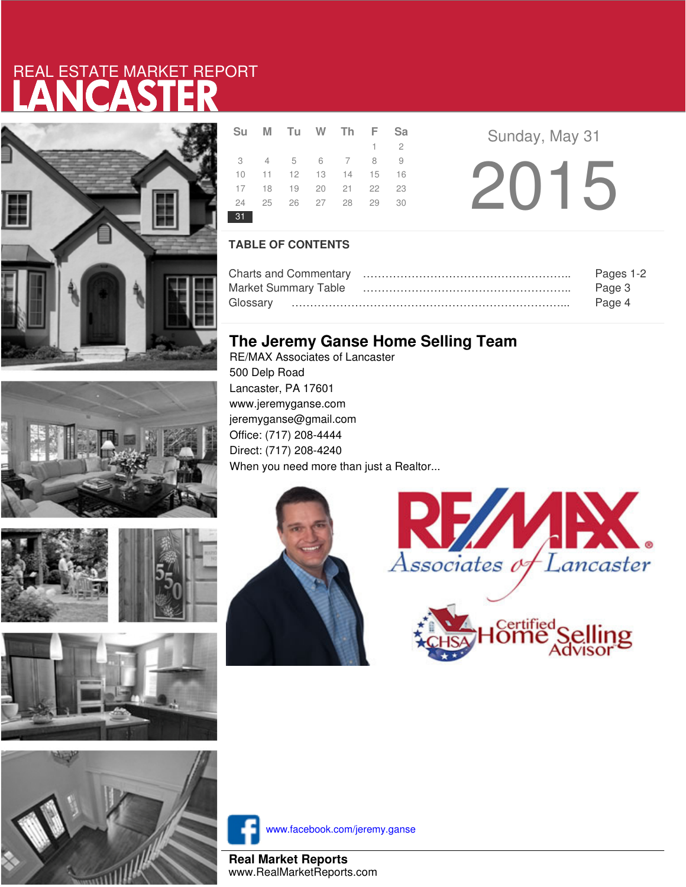# LANCASTER REAL ESTATE MARKET REPORT





|    | Su M Tu W Th F              |  |             | <b>Sa</b> |  |
|----|-----------------------------|--|-------------|-----------|--|
|    |                             |  | $1 \quad 2$ |           |  |
|    | 3 4 5 6 7 8 9               |  |             |           |  |
|    | 10 11 12 13 14 15 16        |  |             |           |  |
|    | 17 18 19 20 21 22           |  |             | 23        |  |
|    | 24   25   26   27   28   29 |  |             | 30        |  |
| 31 |                             |  |             |           |  |

**R E** Sunday, May 31 2015

### **TABLE OF CONTENTS**

|                             | Pages 1-2 |
|-----------------------------|-----------|
| <b>Market Summary Table</b> | Page 3    |
|                             | Page 4    |

### **The Jeremy Ganse Home Selling Team**

RE/MAX Associates of Lancaster 500 Delp Road Lancaster, PA 17601 www.jeremyganse.com jeremyganse@gmail.com Office: (717) 208-4444 Direct: (717) 208-4240 When you need more than just a Realtor...









www.facebook.com/jeremy.ganse

**Real Market Reports** www.RealMarketReports.com





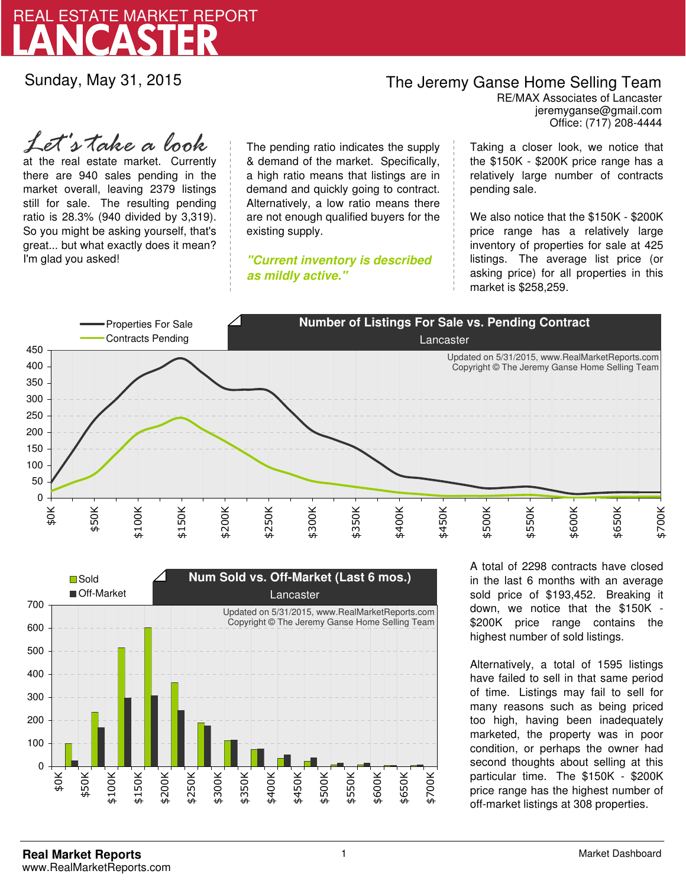

Sunday, May 31, 2015

## The Jeremy Ganse Home Selling Team

jeremyganse@gmail.com RE/MAX Associates of Lancaster Office: (717) 208-4444

at the real estate market. Currently there are 940 sales pending in the market overall, leaving 2379 listings still for sale. The resulting pending ratio is 28.3% (940 divided by 3,319). So you might be asking yourself, that's great... but what exactly does it mean? I'm glad you asked! *Let's take a look*

The pending ratio indicates the supply & demand of the market. Specifically, a high ratio means that listings are in demand and quickly going to contract. Alternatively, a low ratio means there are not enough qualified buyers for the existing supply.

**"Current inventory is described as mildly active."**

Taking a closer look, we notice that the \$150K - \$200K price range has a relatively large number of contracts pending sale.

We also notice that the \$150K - \$200K price range has a relatively large inventory of properties for sale at 425 listings. The average list price (or asking price) for all properties in this market is \$258,259.





A total of 2298 contracts have closed in the last 6 months with an average sold price of \$193,452. Breaking it down, we notice that the \$150K - \$200K price range contains the highest number of sold listings.

Alternatively, a total of 1595 listings have failed to sell in that same period of time. Listings may fail to sell for many reasons such as being priced too high, having been inadequately marketed, the property was in poor condition, or perhaps the owner had second thoughts about selling at this particular time. The \$150K - \$200K price range has the highest number of off-market listings at 308 properties.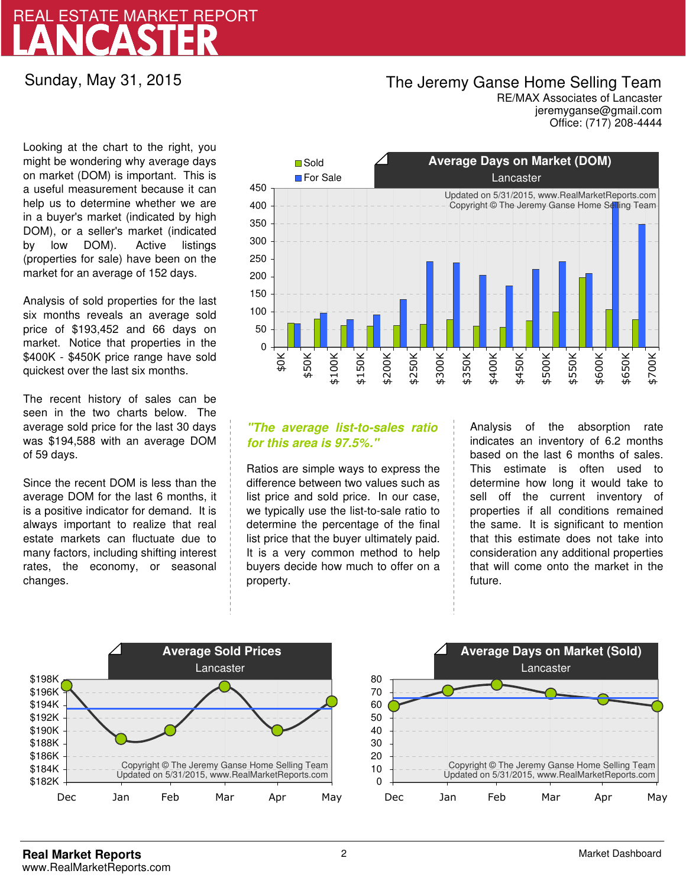## LANCASTER REAL ESTATE MARKET REPORT

Sunday, May 31, 2015

### The Jeremy Ganse Home Selling Team

jeremyganse@gmail.com RE/MAX Associates of Lancaster Office: (717) 208-4444

Looking at the chart to the right, you might be wondering why average days on market (DOM) is important. This is a useful measurement because it can help us to determine whether we are in a buyer's market (indicated by high DOM), or a seller's market (indicated by low DOM). Active listings (properties for sale) have been on the market for an average of 152 days.

Analysis of sold properties for the last six months reveals an average sold price of \$193,452 and 66 days on market. Notice that properties in the \$400K - \$450K price range have sold quickest over the last six months.

The recent history of sales can be seen in the two charts below. The average sold price for the last 30 days was \$194,588 with an average DOM of 59 days.

Since the recent DOM is less than the average DOM for the last 6 months, it is a positive indicator for demand. It is always important to realize that real estate markets can fluctuate due to many factors, including shifting interest rates, the economy, or seasonal changes.



### **"The average list-to-sales ratio for this area is 97.5%."**

Ratios are simple ways to express the difference between two values such as list price and sold price. In our case, we typically use the list-to-sale ratio to determine the percentage of the final list price that the buyer ultimately paid. It is a very common method to help buyers decide how much to offer on a property.

Analysis of the absorption rate indicates an inventory of 6.2 months based on the last 6 months of sales. This estimate is often used to determine how long it would take to sell off the current inventory of properties if all conditions remained the same. It is significant to mention that this estimate does not take into consideration any additional properties that will come onto the market in the future.



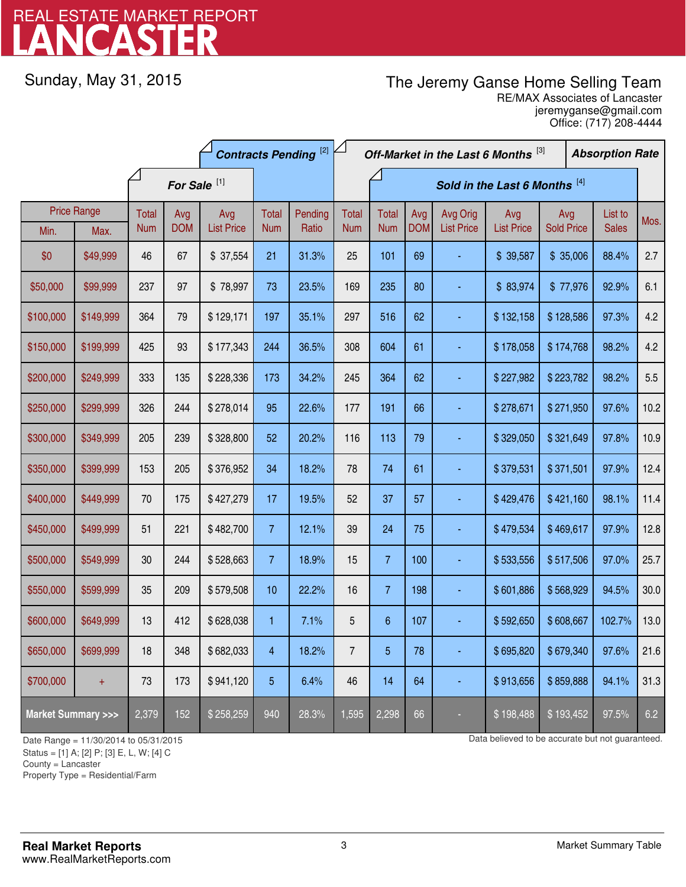# LANCASTER REAL ESTATE MARKET REPORT

Sunday, May 31, 2015

## The Jeremy Ganse Home Selling Team

jeremyganse@gmail.com RE/MAX Associates of Lancaster Office: (717) 208-4444

| <b>Contracts Pending [2]</b>       |           |                         |                   |                          |                     |                  | Off-Market in the Last 6 Months [3]<br><b>Absorption Rate</b> |                               |                   |                               |                          |           |                          |        |      |
|------------------------------------|-----------|-------------------------|-------------------|--------------------------|---------------------|------------------|---------------------------------------------------------------|-------------------------------|-------------------|-------------------------------|--------------------------|-----------|--------------------------|--------|------|
|                                    |           | For Sale <sup>[1]</sup> |                   |                          |                     |                  |                                                               | Sold in the Last 6 Months [4] |                   |                               |                          |           |                          |        |      |
| <b>Price Range</b><br>Max.<br>Min. |           | Total<br><b>Num</b>     | Avg<br><b>DOM</b> | Avg<br><b>List Price</b> | Total<br><b>Num</b> | Pending<br>Ratio | <b>Total</b><br><b>Num</b>                                    | <b>Total</b><br><b>Num</b>    | Avg<br><b>DOM</b> | Avg Orig<br><b>List Price</b> | Avg<br><b>List Price</b> |           | Avg<br><b>Sold Price</b> |        | Mos. |
| \$0                                | \$49,999  | 46                      | 67                | \$37,554                 | 21                  | 31.3%            | 25                                                            | 101                           | 69                |                               | \$39,587                 | \$35,006  |                          | 88.4%  | 2.7  |
| \$50,000                           | \$99,999  | 237                     | 97                | \$78,997                 | 73                  | 23.5%            | 169                                                           | 235                           | 80                |                               | \$83,974                 | \$77,976  |                          | 92.9%  | 6.1  |
| \$100,000                          | \$149,999 | 364                     | 79                | \$129,171                | 197                 | 35.1%            | 297                                                           | 516                           | 62                |                               | \$132,158                | \$128,586 |                          | 97.3%  | 4.2  |
| \$150,000                          | \$199,999 | 425                     | 93                | \$177,343                | 244                 | 36.5%            | 308                                                           | 604                           | 61                |                               | \$178,058                | \$174,768 |                          | 98.2%  | 4.2  |
| \$200,000                          | \$249,999 | 333                     | 135               | \$228,336                | 173                 | 34.2%            | 245                                                           | 364                           | 62                |                               | \$227,982                | \$223,782 |                          | 98.2%  | 5.5  |
| \$250,000                          | \$299,999 | 326                     | 244               | \$278,014                | 95                  | 22.6%            | 177                                                           | 191                           | 66                |                               | \$278,671                | \$271,950 |                          | 97.6%  | 10.2 |
| \$300,000                          | \$349,999 | 205                     | 239               | \$328,800                | 52                  | 20.2%            | 116                                                           | 113                           | 79                |                               | \$329,050                | \$321,649 |                          | 97.8%  | 10.9 |
| \$350,000                          | \$399,999 | 153                     | 205               | \$376,952                | 34                  | 18.2%            | 78                                                            | 74                            | 61                |                               | \$379,531                | \$371,501 |                          | 97.9%  | 12.4 |
| \$400,000                          | \$449,999 | 70                      | 175               | \$427,279                | 17                  | 19.5%            | 52                                                            | 37                            | 57                |                               | \$429,476                | \$421,160 |                          | 98.1%  | 11.4 |
| \$450,000                          | \$499,999 | 51                      | 221               | \$482,700                | 7 <sup>1</sup>      | 12.1%            | 39                                                            | 24                            | 75                |                               | \$479,534                | \$469,617 |                          | 97.9%  | 12.8 |
| \$500,000                          | \$549,999 | 30                      | 244               | \$528,663                | 7 <sup>1</sup>      | 18.9%            | 15                                                            | $\overline{7}$                | 100               |                               | \$533,556                | \$517,506 |                          | 97.0%  | 25.7 |
| \$550,000                          | \$599,999 | 35                      | 209               | \$579,508                | 10                  | 22.2%            | 16                                                            | $\overline{7}$                | 198               |                               | \$601,886                | \$568,929 |                          | 94.5%  | 30.0 |
| \$600,000                          | \$649,999 | 13                      | 412               | \$628,038                | 1.                  | 7.1%             | 5                                                             | $\boldsymbol{6}$              | 107               |                               | \$592,650                | \$608,667 |                          | 102.7% | 13.0 |
| \$650,000                          | \$699,999 | 18                      | 348               | \$682,033                | 4                   | 18.2%            | $\overline{7}$                                                | 5                             | 78                |                               | \$695,820                | \$679,340 |                          | 97.6%  | 21.6 |
| \$700,000                          | $+$       | 73                      | 173               | \$941,120                | 5                   | 6.4%             | 46                                                            | 14                            | 64                |                               | \$913,656                | \$859,888 |                          | 94.1%  | 31.3 |
| <b>Market Summary &gt;&gt;&gt;</b> |           | 2,379                   | 152               | \$258,259                | 940                 | 28.3%            | 1,595                                                         | 2,298                         | 66                |                               | \$198,488                | \$193,452 |                          | 97.5%  | 6.2  |

Status = [1] A; [2] P; [3] E, L, W; [4] C

County = Lancaster

-

Property Type = Residential/Farm

Date Range = 11/30/2014 to 05/31/2015 Date Range = 11/30/2014 to 05/31/2015